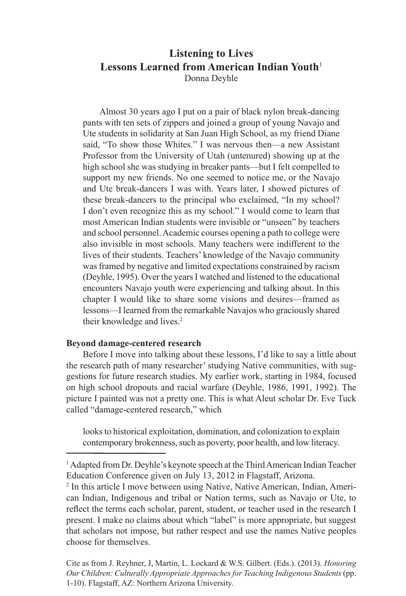# **Listening to Lives Lessons Learned from American Indian Youth**<sup>1</sup> Donna Deyhle

Almost 30 years ago I put on a pair of black nylon break-dancing pants with ten sets of zippers and joined a group of young Navajo and Ute students in solidarity at San Juan High School, as my friend Diane said, "To show those Whites." I was nervous then—a new Assistant Professor from the University of Utah (untenured) showing up at the high school she was studying in breaker pants—but I felt compelled to support my new friends. No one seemed to notice me, or the Navajo and Ute break-dancers I was with. Years later, I showed pictures of these break-dancers to the principal who exclaimed, "In my school? I don't even recognize this as my school." I would come to learn that most American Indian students were invisible or "unseen" by teachers and school personnel. Academic courses opening a path to college were also invisible in most schools. Many teachers were indifferent to the lives of their students. Teachers' knowledge of the Navajo community was framed by negative and limited expectations constrained by racism (Deyhle, 1995). Over the years I watched and listened to the educational encounters Navajo youth were experiencing and talking about. In this chapter I would like to share some visions and desires—framed as lessons—I learned from the remarkable Navajos who graciously shared their knowledge and lives.<sup>2</sup>

#### **Beyond damage-centered research**

Before I move into talking about these lessons, I'd like to say a little about the research path of many researcher' studying Native communities, with suggestions for future research studies. My earlier work, starting in 1984, focused on high school dropouts and racial warfare (Deyhle, 1986, 1991, 1992). The picture I painted was not a pretty one. This is what Aleut scholar Dr. Eve Tuck called "damage-centered research," which

looks to historical exploitation, domination, and colonization to explain contemporary brokenness, such as poverty, poor health, and low literacy.

<sup>1</sup> Adapted from Dr. Deyhle's keynote speech at the Third American Indian Teacher Education Conference given on July 13, 2012 in Flagstaff, Arizona.

2 In this article I move between using Native, Native American, Indian, American Indian, Indigenous and tribal or Nation terms, such as Navajo or Ute, to reflect the terms each scholar, parent, student, or teacher used in the research I present. I make no claims about which "label" is more appropriate, but suggest that scholars not impose, but rather respect and use the names Native peoples choose for themselves.

Cite as from J. Reyhner, J, Martin, L. Lockard & W.S. Gilbert. (Eds.). (2013). *Honoring Our Children: Culturally Appropriate Approaches for Teaching Indigenous Students* (pp. 1-10). Flagstaff, AZ: Northern Arizona University.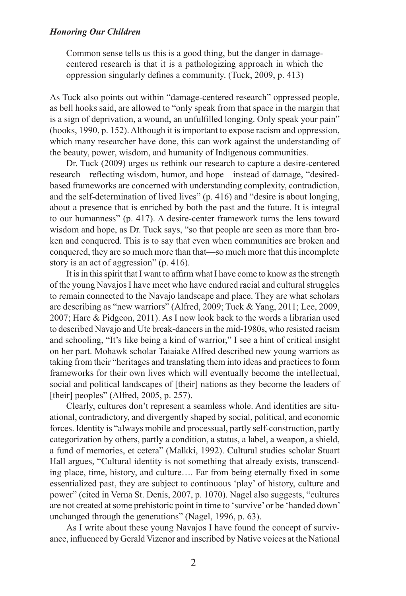Common sense tells us this is a good thing, but the danger in damagecentered research is that it is a pathologizing approach in which the oppression singularly defines a community. (Tuck, 2009, p. 413)

As Tuck also points out within "damage-centered research" oppressed people, as bell hooks said, are allowed to "only speak from that space in the margin that is a sign of deprivation, a wound, an unfulfilled longing. Only speak your pain" (hooks, 1990, p. 152). Although it is important to expose racism and oppression, which many researcher have done, this can work against the understanding of the beauty, power, wisdom, and humanity of Indigenous communities.

Dr. Tuck (2009) urges us rethink our research to capture a desire-centered research—reflecting wisdom, humor, and hope—instead of damage, "desiredbased frameworks are concerned with understanding complexity, contradiction, and the self-determination of lived lives" (p. 416) and "desire is about longing, about a presence that is enriched by both the past and the future. It is integral to our humanness" (p. 417). A desire-center framework turns the lens toward wisdom and hope, as Dr. Tuck says, "so that people are seen as more than broken and conquered. This is to say that even when communities are broken and conquered, they are so much more than that—so much more that this incomplete story is an act of aggression" (p. 416).

It is in this spirit that I want to affirm what I have come to know as the strength of the young Navajos I have meet who have endured racial and cultural struggles to remain connected to the Navajo landscape and place. They are what scholars are describing as "new warriors" (Alfred, 2009; Tuck & Yang, 2011; Lee, 2009, 2007; Hare & Pidgeon, 2011). As I now look back to the words a librarian used to described Navajo and Ute break-dancers in the mid-1980s, who resisted racism and schooling, "It's like being a kind of warrior," I see a hint of critical insight on her part. Mohawk scholar Taiaiake Alfred described new young warriors as taking from their "heritages and translating them into ideas and practices to form frameworks for their own lives which will eventually become the intellectual, social and political landscapes of [their] nations as they become the leaders of [their] peoples" (Alfred, 2005, p. 257).

Clearly, cultures don't represent a seamless whole. And identities are situational, contradictory, and divergently shaped by social, political, and economic forces. Identity is "always mobile and processual, partly self-construction, partly categorization by others, partly a condition, a status, a label, a weapon, a shield, a fund of memories, et cetera" (Malkki, 1992). Cultural studies scholar Stuart Hall argues, "Cultural identity is not something that already exists, transcending place, time, history, and culture…. Far from being eternally fixed in some essentialized past, they are subject to continuous 'play' of history, culture and power" (cited in Verna St. Denis, 2007, p. 1070). Nagel also suggests, "cultures are not created at some prehistoric point in time to 'survive' or be 'handed down' unchanged through the generations" (Nagel, 1996, p. 63).

As I write about these young Navajos I have found the concept of survivance, influenced by Gerald Vizenor and inscribed by Native voices at the National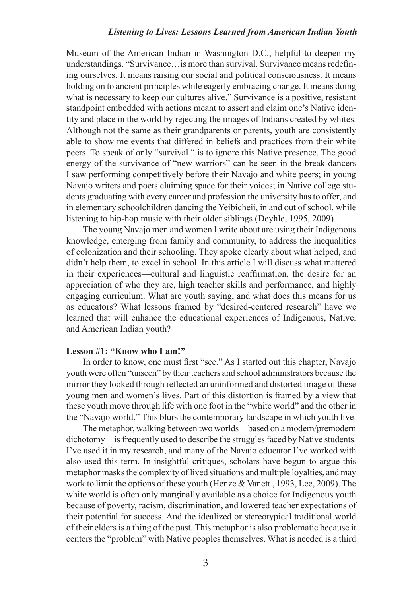Museum of the American Indian in Washington D.C., helpful to deepen my understandings. "Survivance…is more than survival. Survivance means redefining ourselves. It means raising our social and political consciousness. It means holding on to ancient principles while eagerly embracing change. It means doing what is necessary to keep our cultures alive." Survivance is a positive, resistant standpoint embedded with actions meant to assert and claim one's Native identity and place in the world by rejecting the images of Indians created by whites. Although not the same as their grandparents or parents, youth are consistently able to show me events that differed in beliefs and practices from their white peers. To speak of only "survival " is to ignore this Native presence. The good energy of the survivance of "new warriors" can be seen in the break-dancers I saw performing competitively before their Navajo and white peers; in young Navajo writers and poets claiming space for their voices; in Native college students graduating with every career and profession the university has to offer, and in elementary schoolchildren dancing the Yeibicheii, in and out of school, while listening to hip-hop music with their older siblings (Deyhle, 1995, 2009)

The young Navajo men and women I write about are using their Indigenous knowledge, emerging from family and community, to address the inequalities of colonization and their schooling. They spoke clearly about what helped, and didn't help them, to excel in school. In this article I will discuss what mattered in their experiences—cultural and linguistic reaffirmation, the desire for an appreciation of who they are, high teacher skills and performance, and highly engaging curriculum. What are youth saying, and what does this means for us as educators? What lessons framed by "desired-centered research" have we learned that will enhance the educational experiences of Indigenous, Native, and American Indian youth?

## **Lesson #1: "Know who I am!"**

In order to know, one must first "see." As I started out this chapter, Navajo youth were often "unseen" by their teachers and school administrators because the mirror they looked through reflected an uninformed and distorted image of these young men and women's lives. Part of this distortion is framed by a view that these youth move through life with one foot in the "white world" and the other in the "Navajo world." This blurs the contemporary landscape in which youth live.

The metaphor, walking between two worlds—based on a modern/premodern dichotomy—is frequently used to describe the struggles faced by Native students. I've used it in my research, and many of the Navajo educator I've worked with also used this term. In insightful critiques, scholars have begun to argue this metaphor masks the complexity of lived situations and multiple loyalties, and may work to limit the options of these youth (Henze & Vanett , 1993, Lee, 2009). The white world is often only marginally available as a choice for Indigenous youth because of poverty, racism, discrimination, and lowered teacher expectations of their potential for success. And the idealized or stereotypical traditional world of their elders is a thing of the past. This metaphor is also problematic because it centers the "problem" with Native peoples themselves. What is needed is a third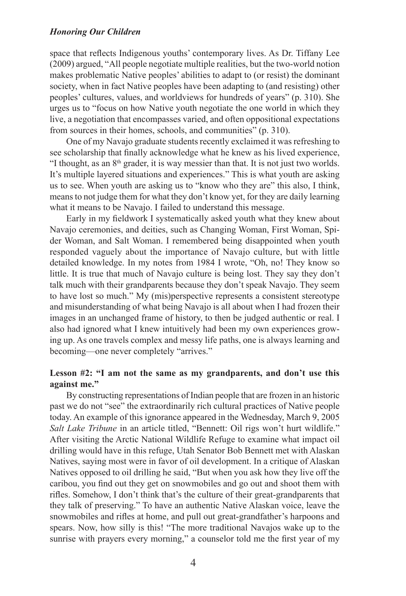space that reflects Indigenous youths' contemporary lives. As Dr. Tiffany Lee (2009) argued, "All people negotiate multiple realities, but the two-world notion makes problematic Native peoples' abilities to adapt to (or resist) the dominant society, when in fact Native peoples have been adapting to (and resisting) other peoples' cultures, values, and worldviews for hundreds of years" (p. 310). She urges us to "focus on how Native youth negotiate the one world in which they live, a negotiation that encompasses varied, and often oppositional expectations from sources in their homes, schools, and communities" (p. 310).

One of my Navajo graduate students recently exclaimed it was refreshing to see scholarship that finally acknowledge what he knew as his lived experience, "I thought, as an 8<sup>th</sup> grader, it is way messier than that. It is not just two worlds. It's multiple layered situations and experiences." This is what youth are asking us to see. When youth are asking us to "know who they are" this also, I think, means to not judge them for what they don't know yet, for they are daily learning what it means to be Navajo. I failed to understand this message.

Early in my fieldwork I systematically asked youth what they knew about Navajo ceremonies, and deities, such as Changing Woman, First Woman, Spider Woman, and Salt Woman. I remembered being disappointed when youth responded vaguely about the importance of Navajo culture, but with little detailed knowledge. In my notes from 1984 I wrote, "Oh, no! They know so little. It is true that much of Navajo culture is being lost. They say they don't talk much with their grandparents because they don't speak Navajo. They seem to have lost so much." My (mis)perspective represents a consistent stereotype and misunderstanding of what being Navajo is all about when I had frozen their images in an unchanged frame of history, to then be judged authentic or real. I also had ignored what I knew intuitively had been my own experiences growing up. As one travels complex and messy life paths, one is always learning and becoming—one never completely "arrives."

## **Lesson #2: "I am not the same as my grandparents, and don't use this against me."**

By constructing representations of Indian people that are frozen in an historic past we do not "see" the extraordinarily rich cultural practices of Native people today. An example of this ignorance appeared in the Wednesday, March 9, 2005 *Salt Lake Tribune* in an article titled, "Bennett: Oil rigs won't hurt wildlife." After visiting the Arctic National Wildlife Refuge to examine what impact oil drilling would have in this refuge, Utah Senator Bob Bennett met with Alaskan Natives, saying most were in favor of oil development. In a critique of Alaskan Natives opposed to oil drilling he said, "But when you ask how they live off the caribou, you find out they get on snowmobiles and go out and shoot them with rifles. Somehow, I don't think that's the culture of their great-grandparents that they talk of preserving." To have an authentic Native Alaskan voice, leave the snowmobiles and rifles at home, and pull out great-grandfather's harpoons and spears. Now, how silly is this! "The more traditional Navajos wake up to the sunrise with prayers every morning," a counselor told me the first year of my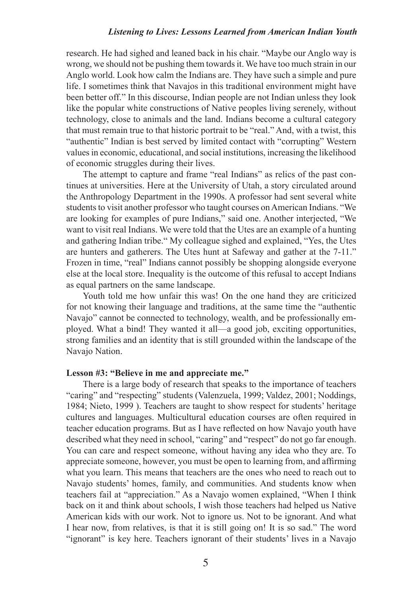research. He had sighed and leaned back in his chair. "Maybe our Anglo way is wrong, we should not be pushing them towards it. We have too much strain in our Anglo world. Look how calm the Indians are. They have such a simple and pure life. I sometimes think that Navajos in this traditional environment might have been better off." In this discourse, Indian people are not Indian unless they look like the popular white constructions of Native peoples living serenely, without technology, close to animals and the land. Indians become a cultural category that must remain true to that historic portrait to be "real." And, with a twist, this "authentic" Indian is best served by limited contact with "corrupting" Western values in economic, educational, and social institutions, increasing the likelihood of economic struggles during their lives.

The attempt to capture and frame "real Indians" as relics of the past continues at universities. Here at the University of Utah, a story circulated around the Anthropology Department in the 1990s. A professor had sent several white students to visit another professor who taught courses on American Indians. "We are looking for examples of pure Indians," said one. Another interjected, "We want to visit real Indians. We were told that the Utes are an example of a hunting and gathering Indian tribe." My colleague sighed and explained, "Yes, the Utes are hunters and gatherers. The Utes hunt at Safeway and gather at the 7-11." Frozen in time, "real" Indians cannot possibly be shopping alongside everyone else at the local store. Inequality is the outcome of this refusal to accept Indians as equal partners on the same landscape.

Youth told me how unfair this was! On the one hand they are criticized for not knowing their language and traditions, at the same time the "authentic Navajo" cannot be connected to technology, wealth, and be professionally employed. What a bind! They wanted it all—a good job, exciting opportunities, strong families and an identity that is still grounded within the landscape of the Navajo Nation.

## **Lesson #3: "Believe in me and appreciate me."**

There is a large body of research that speaks to the importance of teachers "caring" and "respecting" students (Valenzuela, 1999; Valdez, 2001; Noddings, 1984; Nieto, 1999 ). Teachers are taught to show respect for students' heritage cultures and languages. Multicultural education courses are often required in teacher education programs. But as I have reflected on how Navajo youth have described what they need in school, "caring" and "respect" do not go far enough. You can care and respect someone, without having any idea who they are. To appreciate someone, however, you must be open to learning from, and affirming what you learn. This means that teachers are the ones who need to reach out to Navajo students' homes, family, and communities. And students know when teachers fail at "appreciation." As a Navajo women explained, "When I think back on it and think about schools, I wish those teachers had helped us Native American kids with our work. Not to ignore us. Not to be ignorant. And what I hear now, from relatives, is that it is still going on! It is so sad." The word "ignorant" is key here. Teachers ignorant of their students' lives in a Navajo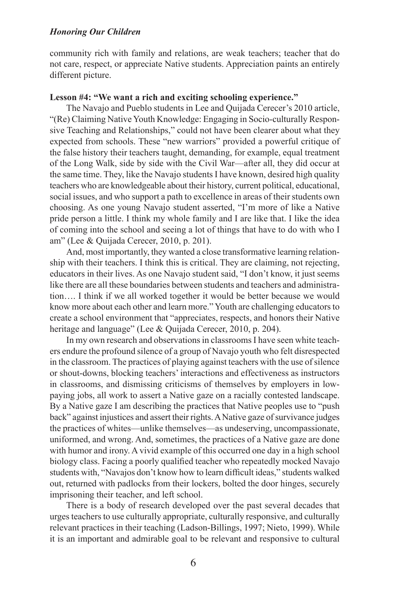community rich with family and relations, are weak teachers; teacher that do not care, respect, or appreciate Native students. Appreciation paints an entirely different picture.

### **Lesson #4: "We want a rich and exciting schooling experience."**

The Navajo and Pueblo students in Lee and Quijada Cerecer's 2010 article, "(Re) Claiming Native Youth Knowledge: Engaging in Socio-culturally Responsive Teaching and Relationships," could not have been clearer about what they expected from schools. These "new warriors" provided a powerful critique of the false history their teachers taught, demanding, for example, equal treatment of the Long Walk, side by side with the Civil War—after all, they did occur at the same time. They, like the Navajo students I have known, desired high quality teachers who are knowledgeable about their history, current political, educational, social issues, and who support a path to excellence in areas of their students own choosing. As one young Navajo student asserted, "I'm more of like a Native pride person a little. I think my whole family and I are like that. I like the idea of coming into the school and seeing a lot of things that have to do with who I am" (Lee & Quijada Cerecer, 2010, p. 201).

And, most importantly, they wanted a close transformative learning relationship with their teachers. I think this is critical. They are claiming, not rejecting, educators in their lives. As one Navajo student said, "I don't know, it just seems like there are all these boundaries between students and teachers and administration…. I think if we all worked together it would be better because we would know more about each other and learn more." Youth are challenging educators to create a school environment that "appreciates, respects, and honors their Native heritage and language" (Lee & Quijada Cerecer, 2010, p. 204).

In my own research and observations in classrooms I have seen white teachers endure the profound silence of a group of Navajo youth who felt disrespected in the classroom. The practices of playing against teachers with the use of silence or shout-downs, blocking teachers' interactions and effectiveness as instructors in classrooms, and dismissing criticisms of themselves by employers in lowpaying jobs, all work to assert a Native gaze on a racially contested landscape. By a Native gaze I am describing the practices that Native peoples use to "push back" against injustices and assert their rights. A Native gaze of survivance judges the practices of whites—unlike themselves—as undeserving, uncompassionate, uniformed, and wrong. And, sometimes, the practices of a Native gaze are done with humor and irony. A vivid example of this occurred one day in a high school biology class. Facing a poorly qualified teacher who repeatedly mocked Navajo students with, "Navajos don't know how to learn difficult ideas," students walked out, returned with padlocks from their lockers, bolted the door hinges, securely imprisoning their teacher, and left school.

There is a body of research developed over the past several decades that urges teachers to use culturally appropriate, culturally responsive, and culturally relevant practices in their teaching (Ladson-Billings, 1997; Nieto, 1999). While it is an important and admirable goal to be relevant and responsive to cultural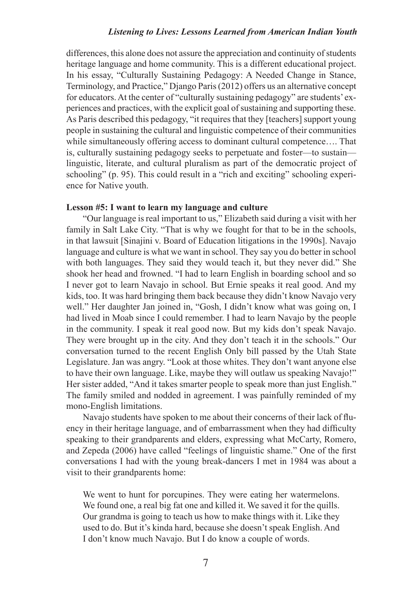differences, this alone does not assure the appreciation and continuity of students heritage language and home community. This is a different educational project. In his essay, "Culturally Sustaining Pedagogy: A Needed Change in Stance, Terminology, and Practice," Django Paris (2012) offers us an alternative concept for educators. At the center of "culturally sustaining pedagogy" are students' experiences and practices, with the explicit goal of sustaining and supporting these. As Paris described this pedagogy, "it requires that they [teachers] support young people in sustaining the cultural and linguistic competence of their communities while simultaneously offering access to dominant cultural competence…. That is, culturally sustaining pedagogy seeks to perpetuate and foster—to sustain linguistic, literate, and cultural pluralism as part of the democratic project of schooling" (p. 95). This could result in a "rich and exciting" schooling experience for Native youth.

#### **Lesson #5: I want to learn my language and culture**

"Our language is real important to us," Elizabeth said during a visit with her family in Salt Lake City. "That is why we fought for that to be in the schools, in that lawsuit [Sinajini v. Board of Education litigations in the 1990s]. Navajo language and culture is what we want in school. They say you do better in school with both languages. They said they would teach it, but they never did." She shook her head and frowned. "I had to learn English in boarding school and so I never got to learn Navajo in school. But Ernie speaks it real good. And my kids, too. It was hard bringing them back because they didn't know Navajo very well." Her daughter Jan joined in, "Gosh, I didn't know what was going on, I had lived in Moab since I could remember. I had to learn Navajo by the people in the community. I speak it real good now. But my kids don't speak Navajo. They were brought up in the city. And they don't teach it in the schools." Our conversation turned to the recent English Only bill passed by the Utah State Legislature. Jan was angry. "Look at those whites. They don't want anyone else to have their own language. Like, maybe they will outlaw us speaking Navajo!" Her sister added, "And it takes smarter people to speak more than just English." The family smiled and nodded in agreement. I was painfully reminded of my mono-English limitations.

Navajo students have spoken to me about their concerns of their lack of fluency in their heritage language, and of embarrassment when they had difficulty speaking to their grandparents and elders, expressing what McCarty, Romero, and Zepeda (2006) have called "feelings of linguistic shame." One of the first conversations I had with the young break-dancers I met in 1984 was about a visit to their grandparents home:

We went to hunt for porcupines. They were eating her watermelons. We found one, a real big fat one and killed it. We saved it for the quills. Our grandma is going to teach us how to make things with it. Like they used to do. But it's kinda hard, because she doesn't speak English. And I don't know much Navajo. But I do know a couple of words.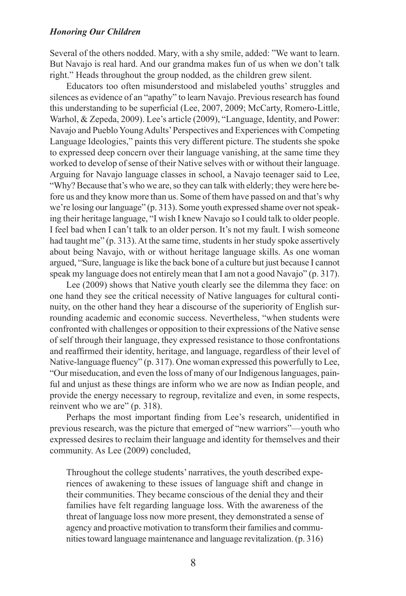Several of the others nodded. Mary, with a shy smile, added: "We want to learn. But Navajo is real hard. And our grandma makes fun of us when we don't talk right." Heads throughout the group nodded, as the children grew silent.

Educators too often misunderstood and mislabeled youths' struggles and silences as evidence of an "apathy" to learn Navajo. Previous research has found this understanding to be superficial (Lee, 2007, 2009; McCarty, Romero-Little, Warhol, & Zepeda, 2009). Lee's article (2009), "Language, Identity, and Power: Navajo and Pueblo Young Adults' Perspectives and Experiences with Competing Language Ideologies," paints this very different picture. The students she spoke to expressed deep concern over their language vanishing, at the same time they worked to develop of sense of their Native selves with or without their language. Arguing for Navajo language classes in school, a Navajo teenager said to Lee, "Why? Because that's who we are, so they can talk with elderly; they were here before us and they know more than us. Some of them have passed on and that's why we're losing our language" (p. 313). Some youth expressed shame over not speaking their heritage language, "I wish I knew Navajo so I could talk to older people. I feel bad when I can't talk to an older person. It's not my fault. I wish someone had taught me" (p. 313). At the same time, students in her study spoke assertively about being Navajo, with or without heritage language skills. As one woman argued, "Sure, language is like the back bone of a culture but just because I cannot speak my language does not entirely mean that I am not a good Navajo" (p. 317).

Lee (2009) shows that Native youth clearly see the dilemma they face: on one hand they see the critical necessity of Native languages for cultural continuity, on the other hand they hear a discourse of the superiority of English surrounding academic and economic success. Nevertheless, "when students were confronted with challenges or opposition to their expressions of the Native sense of self through their language, they expressed resistance to those confrontations and reaffirmed their identity, heritage, and language, regardless of their level of Native-language fluency" (p. 317). One woman expressed this powerfully to Lee, "Our miseducation, and even the loss of many of our Indigenous languages, painful and unjust as these things are inform who we are now as Indian people, and provide the energy necessary to regroup, revitalize and even, in some respects, reinvent who we are" (p. 318).

Perhaps the most important finding from Lee's research, unidentified in previous research, was the picture that emerged of "new warriors"—youth who expressed desires to reclaim their language and identity for themselves and their community. As Lee (2009) concluded,

Throughout the college students' narratives, the youth described experiences of awakening to these issues of language shift and change in their communities. They became conscious of the denial they and their families have felt regarding language loss. With the awareness of the threat of language loss now more present, they demonstrated a sense of agency and proactive motivation to transform their families and communities toward language maintenance and language revitalization. (p. 316)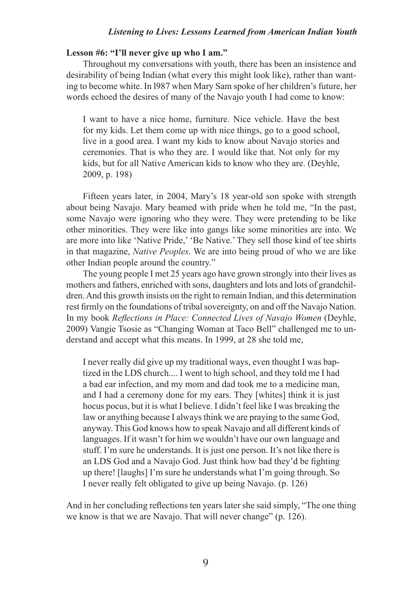### **Lesson #6: "I'll never give up who I am."**

Throughout my conversations with youth, there has been an insistence and desirability of being Indian (what every this might look like), rather than wanting to become white. In l987 when Mary Sam spoke of her children's future, her words echoed the desires of many of the Navajo youth I had come to know:

I want to have a nice home, furniture. Nice vehicle. Have the best for my kids. Let them come up with nice things, go to a good school, live in a good area. I want my kids to know about Navajo stories and ceremonies. That is who they are. I would like that. Not only for my kids, but for all Native American kids to know who they are. (Deyhle, 2009, p. 198)

Fifteen years later, in 2004, Mary's 18 year-old son spoke with strength about being Navajo. Mary beamed with pride when he told me, "In the past, some Navajo were ignoring who they were. They were pretending to be like other minorities. They were like into gangs like some minorities are into. We are more into like 'Native Pride,' 'Be Native.' They sell those kind of tee shirts in that magazine, *Native Peoples*. We are into being proud of who we are like other Indian people around the country."

The young people I met 25 years ago have grown strongly into their lives as mothers and fathers, enriched with sons, daughters and lots and lots of grandchildren. And this growth insists on the right to remain Indian, and this determination rest firmly on the foundations of tribal sovereignty, on and off the Navajo Nation. In my book *Reflections in Place: Connected Lives of Navajo Women* (Deyhle, 2009) Vangie Tsosie as "Changing Woman at Taco Bell" challenged me to understand and accept what this means. In 1999, at 28 she told me,

I never really did give up my traditional ways, even thought I was baptized in the LDS church.... I went to high school, and they told me I had a bad ear infection, and my mom and dad took me to a medicine man, and I had a ceremony done for my ears. They [whites] think it is just hocus pocus, but it is what I believe. I didn't feel like I was breaking the law or anything because I always think we are praying to the same God, anyway. This God knows how to speak Navajo and all different kinds of languages. If it wasn't for him we wouldn't have our own language and stuff. I'm sure he understands. It is just one person. It's not like there is an LDS God and a Navajo God. Just think how bad they'd be fighting up there! [laughs] I'm sure he understands what I'm going through. So I never really felt obligated to give up being Navajo. (p. 126)

And in her concluding reflections ten years later she said simply, "The one thing we know is that we are Navajo. That will never change" (p. 126).